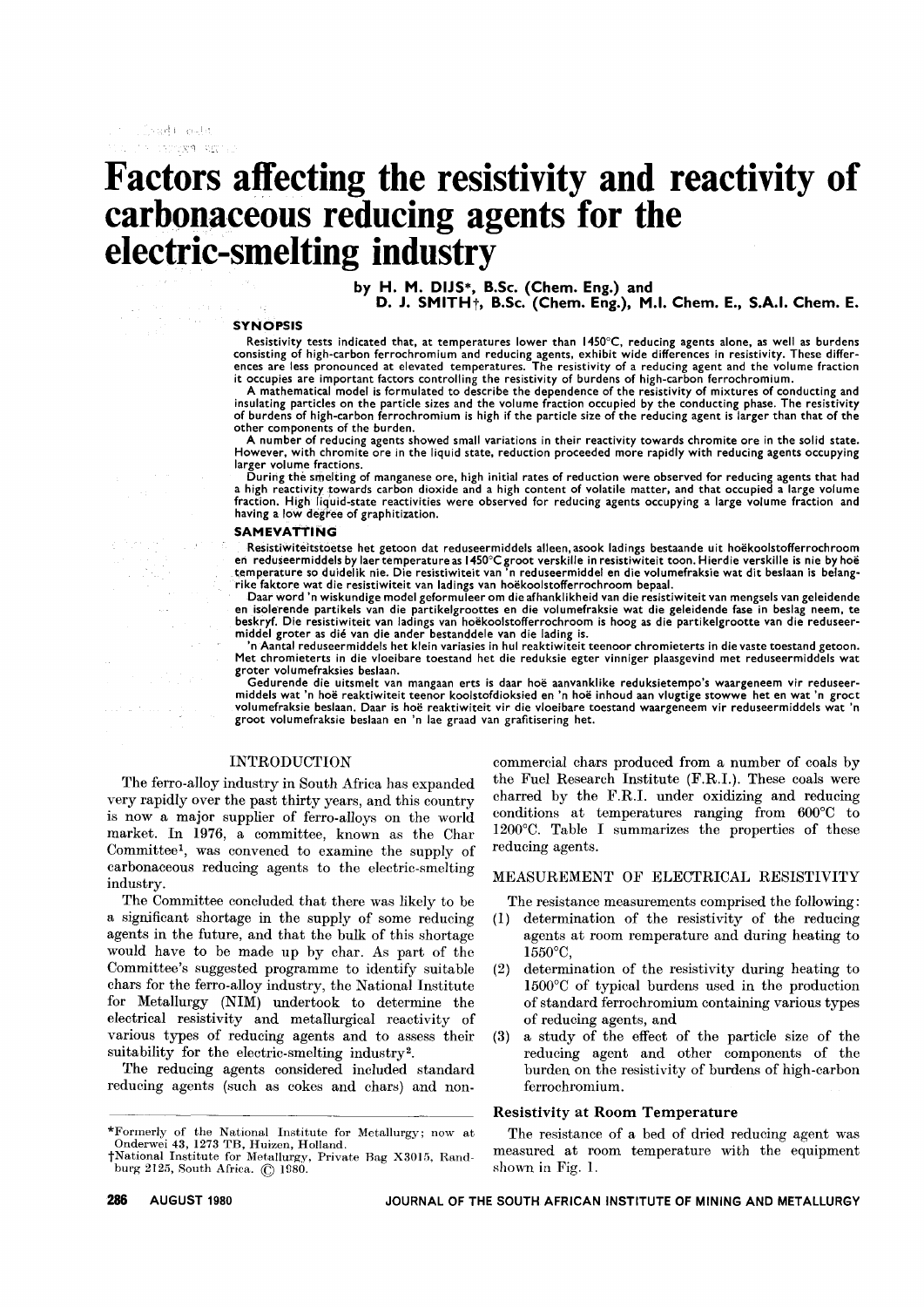# **Factors affecting the resistivity and reactivity of carb()n,aceous reducing agents for the electric-smelting industry**

by H. M. DIJS\*, B.Sc. (Chem. Eng.) and

D. J. SMITH<sub>T</sub>, B.Sc. (Chem. Eng.), M.I. Chem. E., S.A.I. Chem. E.

#### SYNOPSIS

 $\mathbb{Z}^2$  and  $\mathbb{Z}$  $\sim$   $\sim$   $_{\rm{esc}}$ 

> Resistivity tests indicated that, at temperatures lower than 1450°C, reducing agents alone, as well as burden:<br>consisting of high-carbon ferrochromium and reducing agents, exhibit wide differences in resistivity. These dif ences are less pronounced at elevated temperatures. The resistivity of a reducing agent and the volume fraction it occupies are important factors controlling the resistivity of burdens of high-carbon ferrochromium.

> A mathematical model is formulated to describe the dependence of the resistivity of mixtures of conducting and insulating particles on the particle sizes and the volume fraction occupied by the conducting phase. The resistivity of burdens of high-carbon ferrochromium is high if the particle size of the reducing agent is larger than that of the other components of the burden.

> A number of reducing agents showed small variations in their reactivity towards chromite ore in the solid state. However, with chromite ore in the liquid state, reduction proceeded more rapidly with reducing agents occupying larger volume fractions.

> During the smelting of manganese ore, high initial rates of reduction were observed for reducing agents that had a high reactivity towards carbon dioxide and a high content of volatile matter, and that occupied a large volume fraction. High liq'uid-state reactivities were observed for reducing agents occupying a large volume fraction and having a Iow degree of graphitization.

#### SAMEVATTING

Resistiwiteitstoetse het getoon dat reduseermiddels alleen, asook ladings bestaande uit hoekoolstofferrochroom en reduseermiddels by laertemperature as 1450°Cgroot verskille in resistiwiteit toon. Hierdie verskille is nie by hoe temperature so duidelik nie. Die resistiwiteit van 'n reduseermiddel en die volumefraksie wat dit beslaan is belang<br>rike faktore wat die resistiwiteit van ladings van hoëkoolstofferrochroom bepaal.

Daar word 'n wiskundige model geformuleer om die afhanklikheid van die resistiwiteit van mengsels van geleidende<br>en isolerende partikels van die partikelgroottes en die volumefraksie wat die geleidende fase in beslag neem, middel groter as die van die ander bestanddele van die lading is.

'n Aantal reduseermiddels het klein variasies in hul reaktiwiteit teenoor chromieterts in die vaste toestand getoon. Met chromieterts in die vloeibare toestand het die reduksie egter vinniger plaasgevind met reduseermiddels wat groter volumefraksies beslaan.

Gedurende die uitsmelt van mangaan erts is daar hoë aanvanklike reduksietempo's waargeneem vir reduseermiddels wat 'n hoe reaktiwiteit teenor koolstofdioksied en 'n hoe inhoud aan vlugtige stowwe het en wat 'n groet volumefraksie beslaan. Daar is hoe reaktiwiteit vir die vloeibare toestand waargeneem vir reduseermiddels wat 'n groot volumefraksie beslaan en 'n lae graad van grafitisering het.

# INTRODUCTION

The ferro-alloy industry in South Africa has expanded very rapidly over the past thirty years, and this country is now a major supplier of ferro-alloys on the world market. In 1976, a committee, known as the Char Committee<sup>1</sup>, was convened to examine the supply of carbonaceous reducing agents to the electric-smelting industry.

The Committee concluded that there was likely to be a significant shortage in the supply of some reducing agents in the future, and that the bulk of this shortage would have to be made up by char. As part of the Committee's suggested programme to identify suitable chars for the ferro-alloy industry, the National Institute for Metallurgy (NIM) undertook to determine the electrical resistivity and metallurgical reactivity of various types of reducing agents and to assess their suitability for the electric-smelting industry2.

The reducing agents considered included standard reducing agents (such as cokes and chars) and non-

commercial chars produced from a number of coals by the Fuel Research Institute (F.RI.). These coals were charred by the F.RI. under oxidizing and reducing conditions at temperatures ranging from 600°C to 1200°C. Table I summarizes the properties of these reducing agents.

# MEASUREMENT OF ELECTRICAL RESISTIVITY

The resistance measurements comprised the following:

- (1) determination of the resistivity of the reducing agents at room remperature and during heating to 1550°C,
- (2) determination of the resistivity during heating to 1500°C of typical burdens used in the production of standard ferrochromium containing various types of reducing agents, and
- (3) a study of the effect of the particle size of the reducing agent and other components of the burden on the resistivity of burdens of high-carbon ferrochromium.

### Resistivity at Room Temperature

The resistance of a bed of dried reducing agent was measured at room temperature with the equipment shown in Fig. 1.

<sup>\*</sup>Formerly of the National Institute for Metallurgy; now at Onderwei 43, 1273 TB, Huizen, Holland.

<sup>†</sup>National Institute for Metallurgy, Private Bag X3015, Rand-<br>burg 2125, South Africa. © 1980.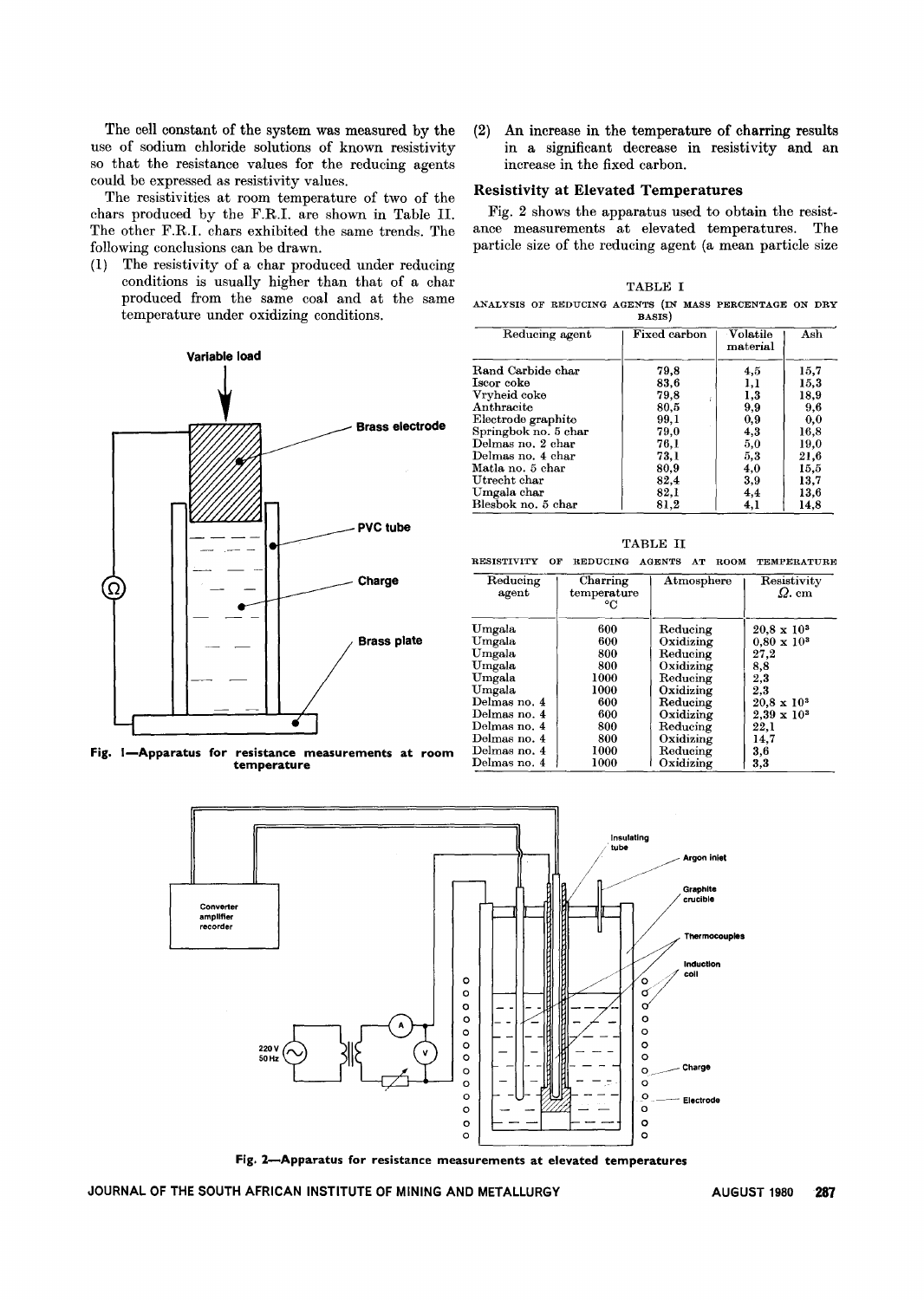The cell constant of the system was measured by the use of sodium chloride solutions of known resistivity so that the resistance values for the reducing agents could be expressed as resistivity values.

The resistivities at room temperature of two of the chars produced by the F.RI. are shown in Table lI. The other F.RI. chars exhibited the same trends. The following conclusions can be drawn.

(1) The resistivity of a char produced under reducing conditions is usually higher than that of a char produced from the same coal and at the same temperature under oxidizing conditions.

Variable load

(2) An increase in the temperature of charring results in a significant decrease in resistivity and an increase in the fixed carbon.

# Resistivity at Elevated Temperatures

Fig. 2 shows the apparatus used to obtain the resistance measurements at elevated temperatures. The particle size of the reducing agent (a mean particle size

TABLE I ANALYSIS OF REDUCING AGENTS (IN MASS PERCENTAGE ON DRY BASIS)

| Reducing agent       | Fixed carbon | Volatile<br>material | Ash  |
|----------------------|--------------|----------------------|------|
| Rand Carbide char    | 79,8         | 4.5                  | 15,7 |
| Iscor coke           | 83,6         | 1,1                  | 15,3 |
| Vryheid coke         | 79.8         | 1,3                  | 18,9 |
| Anthracite           | 80,5         | 9,9                  | 9,6  |
| Electrode graphite   | 99,1         | 0,9                  | 0,0  |
| Springbok no. 5 char | 79.0         | 4,3                  | 16,8 |
| Delmas no. 2 char    | 76,1         | 5,0                  | 19,0 |
| Delmas no. 4 char    | 73.1         | 5,3                  | 21,6 |
| Matla no. 5 char     | 80,9         | 4,0                  | 15,5 |
| Utrecht char         | 82,4         | 3,9                  | 13,7 |
| Umgala char          | 82,1         | 4.4                  | 13,6 |
| Blesbok no. 5 char   | 81,2         | 4,1                  | 14.8 |



Fig. I-Apparatus for resistance measurements at room temperature



RESISTIVITY OF REDUCING AGENTS AT ROOM TEMPERATURE

| Reducing<br>agent | Charring<br>temperature<br>°C | Atmosphere | Resistivity<br>$\Omega$ . cm |
|-------------------|-------------------------------|------------|------------------------------|
| Umgala            | 600                           | Reducing   | $20.8 \times 10^3$           |
| Umgala            | 600                           | Oxidizing  | $0.80 \times 10^3$           |
| Umgala            | 800                           | Reducing   | 27.2                         |
| Umgala            | 800                           | Oxidizing  | 8,8                          |
| Umgala            | 1000                          | Reducing   | 2,3                          |
| Umgala            | 1000                          | Oxidizing  | $2.3\,$                      |
| Delmas no. 4      | 600                           | Reducing   | $20.8 \times 10^{3}$         |
| Delmas no. 4      | 600                           | Oxidizing  | $2.39 \times 10^3$           |
| Delmas no. 4      | 800                           | Reducing   | 22.1                         |
| Delmas no. 4      | 800                           | Oxidizing  | 14,7                         |
| Delmas no. 4      | 1000                          | Reducing   | 3,6                          |
| Delmas no. 4      | 1000                          | Oxidizing  | 3,3                          |



Fig. 2-Apparatus for resistance measurements at elevated temperatures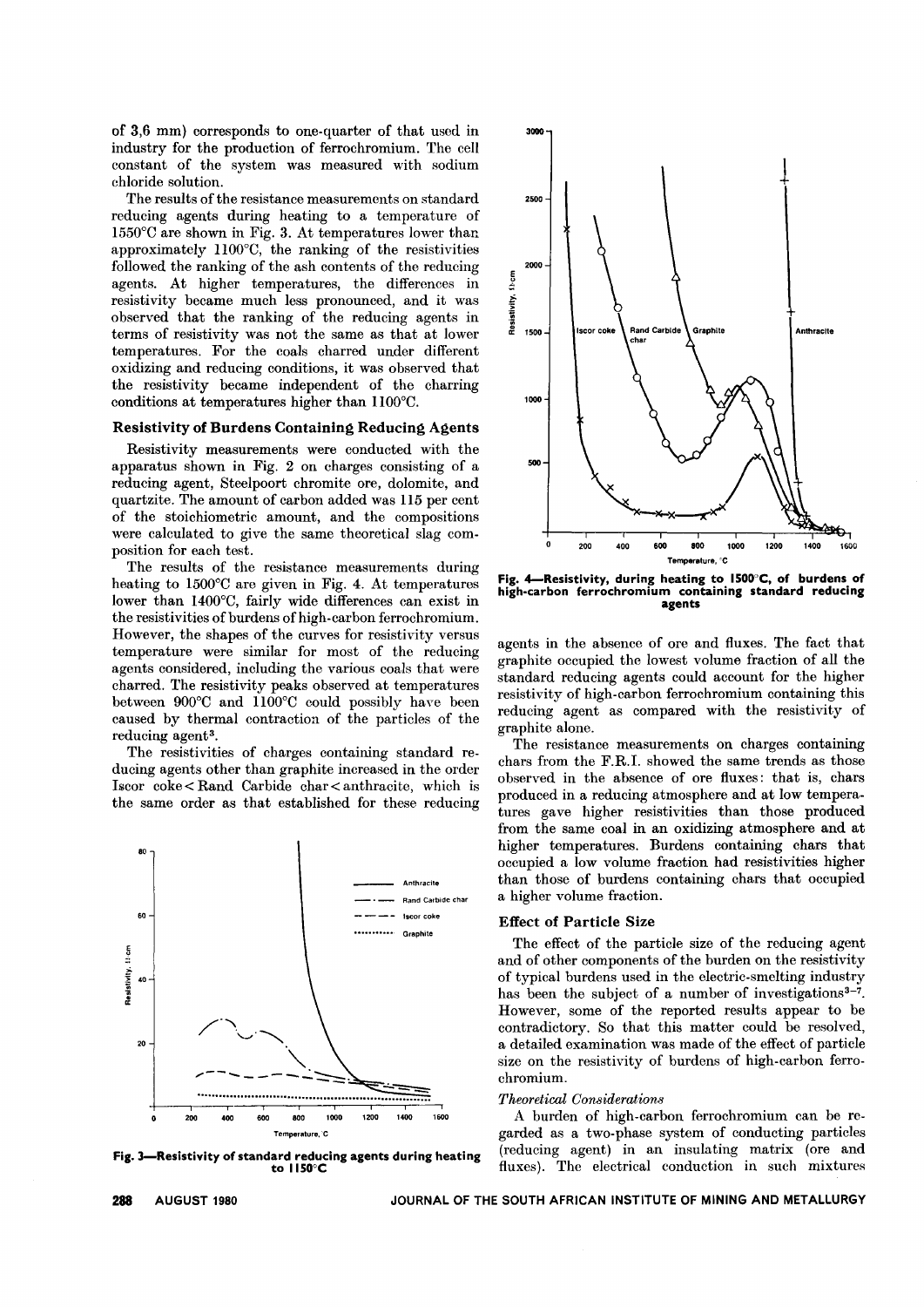of 3,6 mm) corresponds to one-quarter of that used in industry for the production of ferrochromium. The cell constant of the system was measured with sodium chloride solution.

The results of the resistance measurements on standard reducing agents during heating to a temperature of 1550°C are shown in Fig. 3. At temperatures lower than approximately llOO°C, the ranking of the resistivities followed the ranking of the ash contents of the reducing agents. At higher temperatures, the differences in resistivity became much less pronounced, and it was observed that the ranking of the reducing agents in terms of resistivity was not the same as that at lower temperatures. For the coals charred under different oxidizing and reducing conditions, it was observed that the resistivity became independent of the charring conditions at temperatures higher than llOO°C.

#### Resistivity of Burdens Containing Reducing Agents

Resistivity measurements were conducted with the apparatus shown in Fig. 2 on charges consisting of a reducing agent, Steelpoort chromite ore, dolomite, and quartzite. The amount of carbon added was 115 per cent of the stoichiometric amount, and the compositions were calculated to give the same theoretical slag composition for each test.

The results of the resistance measurements during heating to 1500°C are given in Fig. 4. At temperatures lower than 1400°C, fairly wide differences can exist in the resistivities of burdens of high-carbon ferrochromium. However, the shapes of the curves for resistivity versus temperature were similar for most of the reducing agents considered, including the various coals that were charred. The resistivity peaks observed at temperatures between 900°C and llOO°C could possibly have been caused by thermal contraction of the particles of the reducing agent<sup>3</sup>.

The resistivities of charges containing standard reducing agents other than graphite increased in the order Iscor coke < Rand Carbide char < anthracite, which is the same order as that established for these reducing



Fig. 3-Resistivity of standard reducing agents during heating to IISO°C



Fig. 4-Resistivity, during heating to 1500°C, of burdens of high-carbon ferrochromium containing standard reducing agents

agents in the absence of ore and fluxes. The fact that graphite occupied the lowest volume fraction of all the standard reducing agents could account for the higher resistivity of high-carbon ferrochromium containing this reducing agent as compared with the resistivity of graphite alone.

The resistance measurements on charges containing chars from the F.RI. showed the same trends as those observed in the absence of ore fluxes: that is, chars produced in a reducing atmosphere and at low temperatures gave higher resistivities than those produced from the same coal in an oxidizing atmosphere and at higher temperatures. Burdens containing chars that occupied a low volume fraction had resistivities higher than those of burdens containing chars that occupied a higher volume fraction.

#### Effect of Particle Size

The effect of the particle size of the reducing agent and of other components of the burden on the resistivity of typical burdens used in the electric-smelting industry has been the subject of a number of investigations<sup>3-7</sup>. However, some of the reported results appear to be contradictory. So that this matter could be resolved, a detailed examination was made of the effect of particle size on the resistivity of burdens of high-carbon ferrochromium.

#### *Theoretical Considerations*

A burden of high-carbon ferrochromium can be rcgarded as a two-phase system of conducting particles (reducing agent) in an insulating matrix (ore and fluxes). The electrical conduction in such mixtures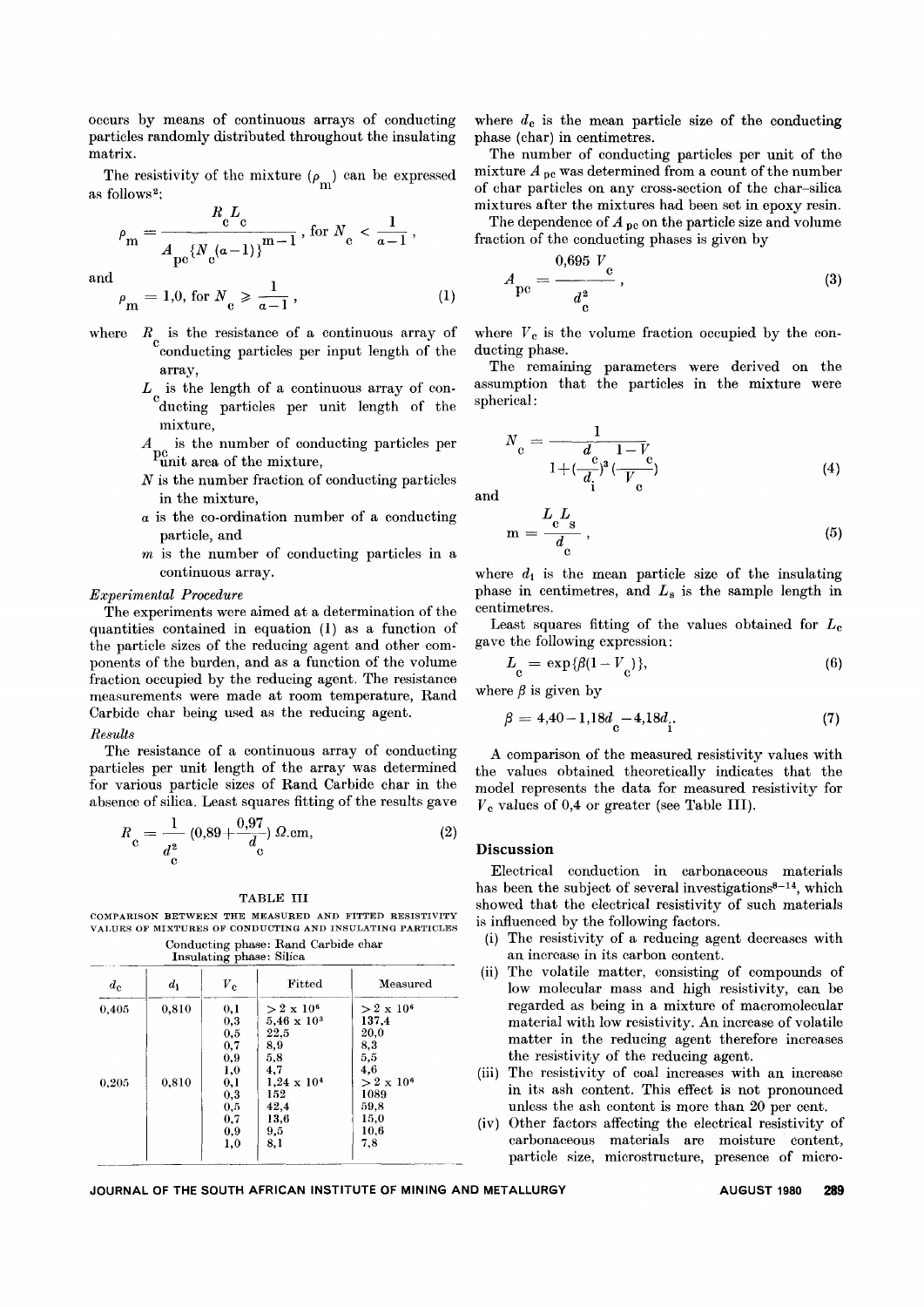occurs by means of continuous arrays of conducting particles randomly distributed throughout the insulating matrix.

The resistivity of the mixture  $(\rho_{\rm m})$  can be expresse<br>as follows<sup>2</sup>;

$$
\rho_{\rm m} = \frac{R_{\rm c}L_{\rm c}}{A_{\rm pc} \left\{N_{\rm c}(a-1)\right\}^{\rm m-1}}, \text{ for } N_{\rm c} < \frac{1}{a-1},
$$

and 
$$
\rho_{\text{m}} = 1.0, \text{ for } N_{\text{c}} \geqslant \frac{1}{a-1}, \qquad (1)
$$

- where  $R_{\text{conductor}}$  is the resistance of a continuous array of conducting particles per input length of the array,
	- $L_{\text{c}}$  is the length of a continuous array of conducting particles per unit length of the mixture,
	- $A_{\text{point}}$  is the number of conducting particles per unit area of the mixture,
	- *N* is the number fraction of conducting particles in the mixture,
	- *a* is the co-ordination number of a conducting particle, and
	- *m* is the number of conducting particles in a continuous array.

#### *Experimental Procedure*

The experiments were aimed at a determination of the quantities contained in equation (1) as a function of the particle sizes of the reducing agent and other components of the burden, and as a function of the volume fraction occupied by the reducing agent. The resistance measurements were made at room temperature, Rand Carbide char being used as the reducing agent.

#### *Results*

The resistance of a continuous array of conducting particles per unit length of the array was determined for various particle sizes of Rand Carbide char in the absence of silica. Least squares fitting of the results gave

$$
R_{\rm e} = \frac{1}{d_{\rm e}^2} (0.89 + \frac{0.97}{d_{\rm e}}) \Omega . \text{cm}, \tag{2}
$$

#### TABLE III

COMPARISON BETWEEN THE MEASURED AND FITTED RESISTIVITY VALUES OF MIXTURES OF CONDUCTING AND INSULATING PARTICLES Conducting phase: Rand Carbide char

Insulating phase: Silica

| $d_{\rm c}$ | $d_1$ | $\boldsymbol{V_{\rm e}}$ | Fitted                  | Measured          |
|-------------|-------|--------------------------|-------------------------|-------------------|
| 0.405       | 0,810 | 0,1                      | $>$ 2 x 10 <sup>6</sup> | $>2 \times 10^6$  |
|             |       | $_{0,3}$                 | $5,46 \times 10^{3}$    | 137.4             |
|             |       | 0,5                      | 22.5                    | 20,0              |
|             |       | 0,7                      | 8,9                     | 8,3               |
|             |       | 0.9                      | 5,8                     | 5,5               |
|             |       | 1,0                      | 4.7                     | 4,6               |
| 0,205       | 0,810 | 0,1                      | $1.24 \times 10^{4}$    | $> 2 \times 10^6$ |
|             |       | 0,3                      | 152                     | 1089              |
|             |       | 0,5                      | 42.4                    | 59,8              |
|             |       | 0.7                      | 13.6                    | 15,0              |
|             |       | 0,9                      | 9,5                     | 10,6              |
|             |       | 1,0                      | 8,1                     | 7.8               |

where  $d_c$  is the mean particle size of the conducting phase (char) in centimetres.

The number of conducting particles per unit of the mixture  $A_{\text{pc}}$  was determined from a count of the number of char particles on any cross-section of the char-silica mixtures after the mixtures had been set in epoxy resin.

The dependence of  $A_{\text{pe}}$  on the particle size and volume fraction of the conducting phases is given by

$$
A_{\rm pe} = \frac{0.695 V_{\rm e}}{d_{\rm e}^2},\tag{3}
$$

where  $V_c$  is the volume fraction occupied by the conducting phase.

The remaining parameters were derived on the assumption that the particles in the mixture were spherical:

$$
N_c = \frac{1}{1 + (\frac{c}{d_i})^3 (\frac{1 - V_c}{V_c})}
$$
(4)

and

$$
m = \frac{L_c L_s}{d_c},
$$
\n(5)

where  $d_i$  is the mean particle size of the insulating phase in centimetres, and *Ls* is the sample length in centimetres.

Least squares fitting of the values obtained for *Le* ga ve the following expression:

$$
L_{\rm c} = \exp{\{\beta(1 - V_{\rm c})\}},\tag{6}
$$

where  $\beta$  is given by

$$
\beta = 4,40-1,18d_{c} - 4,18d_{i}.
$$
\n(7)

A comparison of the measured resistivity values with the values obtained theoretically indicates that the model represents the data for measured resistivity for *V*e values of 0,4 or greater (see Table Ill).

#### Discussion

Electrical conduction in carbonaceous materials has been the subject of several investigations<sup>8-14</sup>, which showed that the electrical resistivity of such materials is influenced by the following factors.

- (i) The resistivity of a reducing agent decreases with an increase in its carbon content.
- (ii) The volatile matter, consisting of compounds of low molecular mass and high resistivity, can be regarded as being in a mixture of macromolecular material with low resistivity. An increase of volatile matter in the reducing agent therefore increases the resistivity of the reducing agent.
- (iii) The resistivity of coal increases with an increase in its ash content. This effect is not pronounced unless the ash content is more than 20 per cent.
- (iv) Other factors affecting the electrical resistivity of carbonaceous materials are moisture content, particle size, microstructure, presence of micro-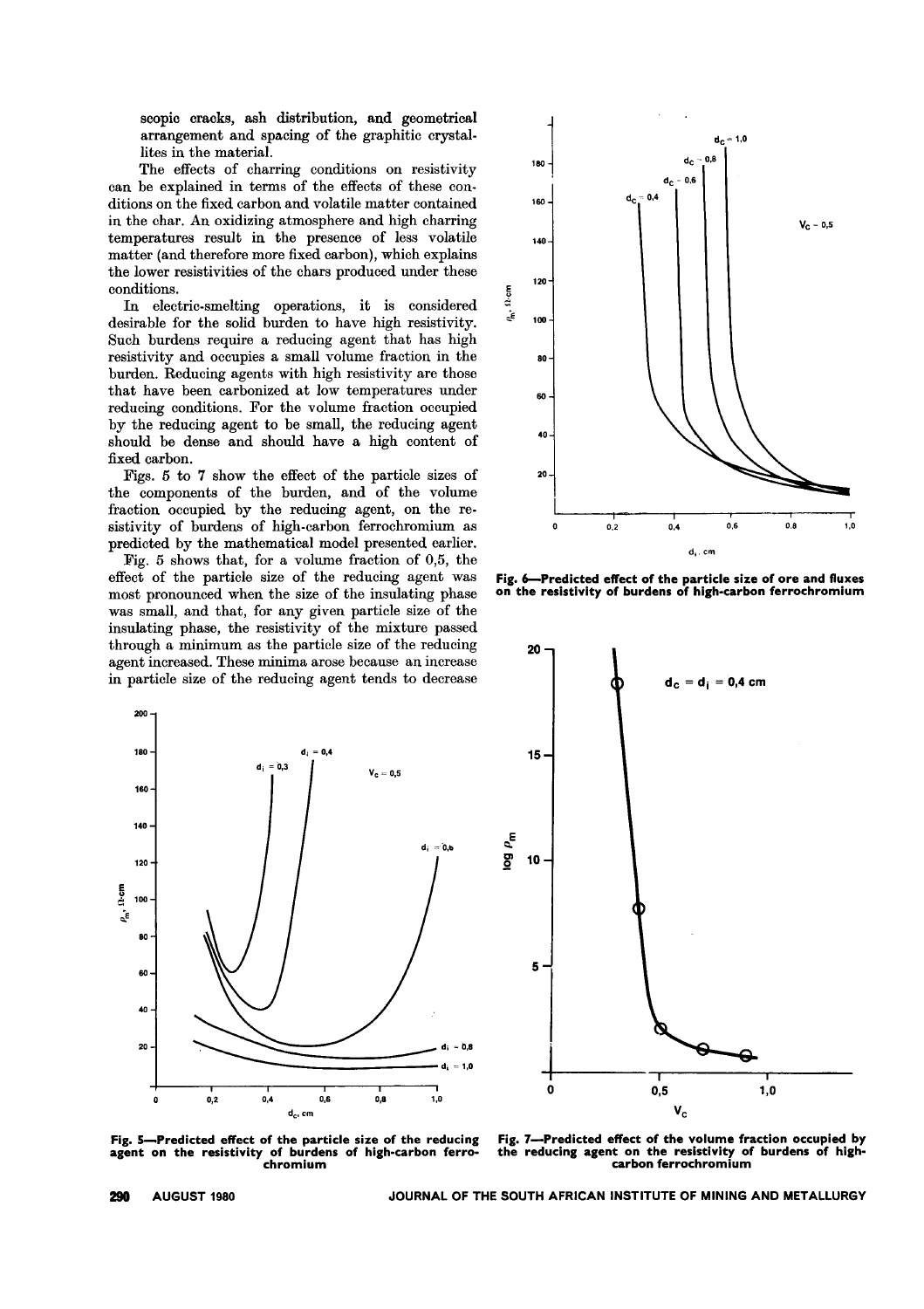scopic cracks, ash distribution, and geometrical arrangement and spacing of the graphitic crystallites in the material.

The effects of charring conditions on resistivity can be explained in terms of the effects of these conditions on the fixed carbon and volatile matter contained in the char. An oxidizing atmosphere and high charring temperatures result in the presence of less volatile matter (and therefore more fixed carbon), which explains the lower resistivities of the chars produced under these conditions.

In electric-smelting operations, it is considered desirable for the solid burden to have high resistivity. Such burdens require a reducing agent that has high resistivity and occupies a small volume fraction in the burden. Reducing agents with high resistivity are those that have been carbonized at Iow temperatures under reducing conditions. For the volume fraction occupied by the reducing agent to be small, the reducing agent should be dense and should have a high content of fixed carbon.

Figs. 5 to 7 show the effect of the particle sizes of the components of the burden, and of the volume fraction occupied by the reducing agent, on the resistivity of burdens of high-carbon ferrochromium as predicted by the mathematical model presented earlier.

Fig. 5 shows that, for a volume fraction of 0,5, the effect of the particle size of the reducing agent was most pronounced when the size of the insulating phase was small, and that, for any given particle size of the insulating phase, the resistivity of the mixture passed through a minimum as the particle size of the reducing agent increased. These minima arose because an increase in particle size of the reducing agent tends to decrease





Fig. 6-Predicted effect of the particle size of ore and fluxes on the resistivity of burdens of high-carbon ferrochromium



Fig. 5-Predicted effect of the particle size of the reducing agent on the resistivity of burdens of high-carbon ferrochromium

Fig. 7--Predicted effect of the volume fraction occupied by<br>the reducing agent on the resistivity of burdens of highreducing agent on the resistivity of burdens of highcarbon ferrochromium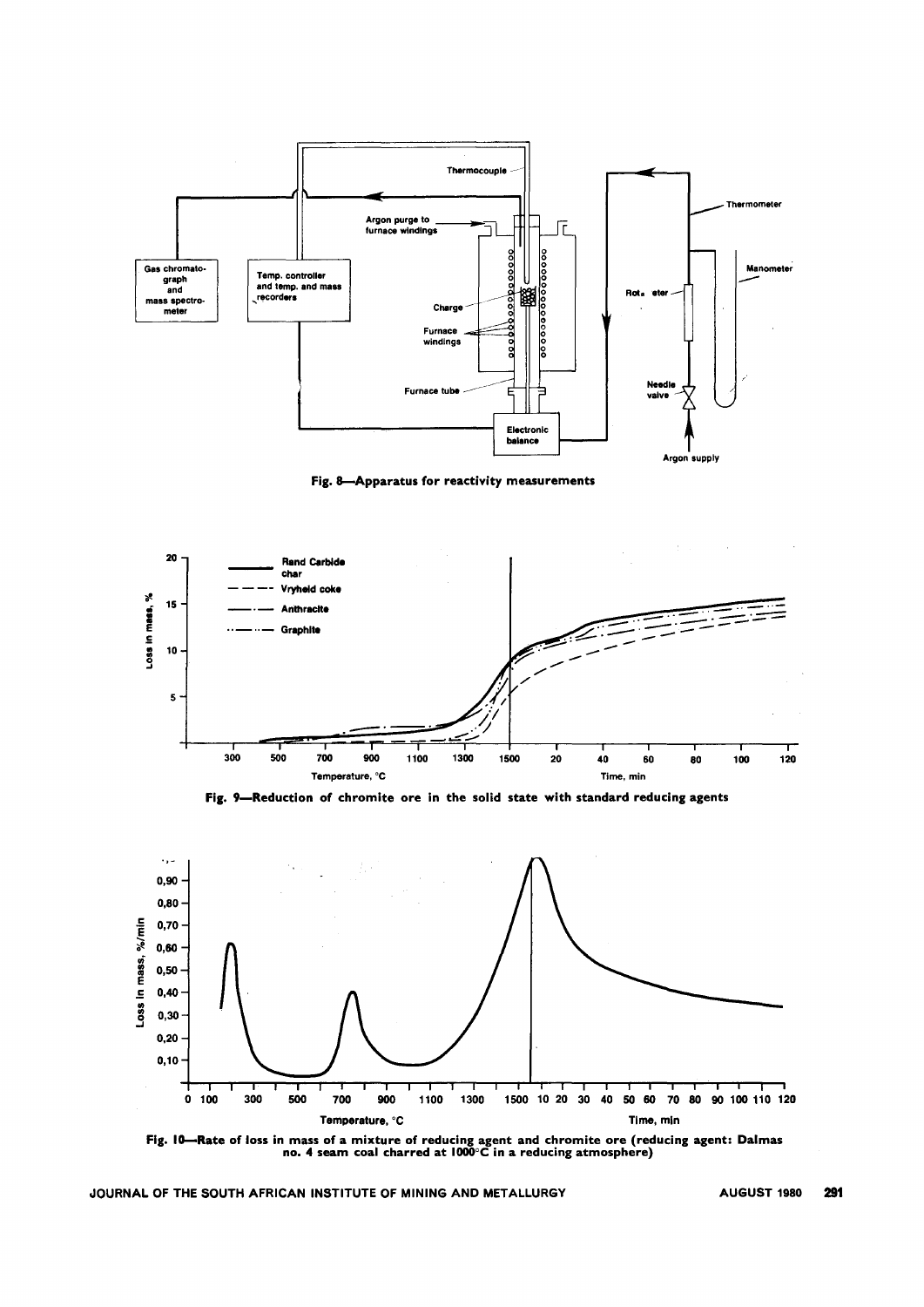

Fig. 8--Apparatus for reactivity measurements



Fig. 9-Reduction of chromite ore in the solid state with standard reducing agents



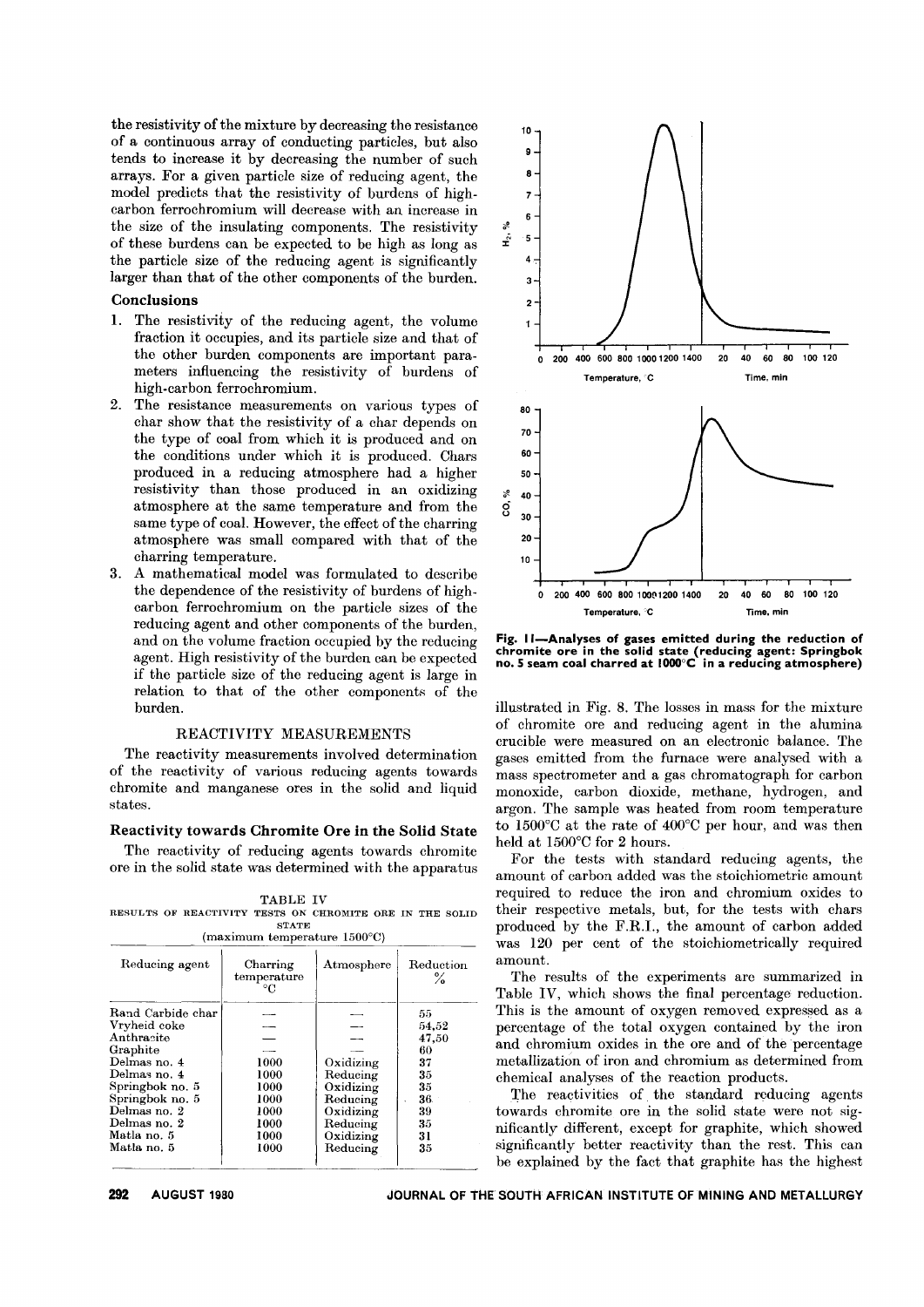the resistivity of the mixture by decreasing the resistance of a continuous array of conducting particles, but also tends to increase it by decreasing the number of such arrays. For a given particle size of reducing agent, the model predicts that the resistivity of burdens of highcarbon ferrochromium wiH decrease with an increase in the size of the insulating components. The resistivity of these burdens can be expected to be high as long as the particle size of the reducing agent is significantly larger than that of the other components of the burden.

#### Conclusions

- 1. The resistivity of the reducing agent, the volume fraction it occupies, and its particle size and that of the other burden components are important parameters influencing the resistivity of burdens of high-carbon ferrochromium.
- 2. The resistance measurements on various types of char show that the resistivity of a char depends on the type of coal from which it is produced and on the conditions under which it is produced. Chars produced in a reducing atmosphere had a higher resistivity than those produced in an oxidizing atmosphere at the same temperature and from the same type of coa1. However, the effect of the charring atmosphere was sma11 compared with that of the charring temperature.
- 3. A mathematical model was formulated to describe the dependence of the resistivity of burdens of highcarbon ferrochromium on the particle sizes of the reducing agent and other components of the burden, and on the volume fraction occupied by the reducing agent. High resistivity of the burden can be expected if the particle size of the reducing agent is large in relation to that of the other components of the burden.

# REACTIVITY MEASUREMENTS

The reactivity measurements involved determination of the reactivity of various reducing agents towards chromite and manganese ores in the solid and liquid states.

#### Reactivity towards Chromite Ore in the Solid State

The reactivity of reducing agents towards chromite ore in the solid state was determined with the apparatus

|  |                                                          | <b>TABLE IV</b> |       |                                          |  |  |
|--|----------------------------------------------------------|-----------------|-------|------------------------------------------|--|--|
|  | RESULTS OF REACTIVITY TESTS ON CHROMITE ORE IN THE SOLII |                 |       |                                          |  |  |
|  |                                                          |                 | STATE |                                          |  |  |
|  |                                                          |                 |       | $(maximum$ temperature $1500^{\circ}$ C) |  |  |

| Reducing agent    | Charring<br>temperature<br>°C | Atmosphere | Reduction<br>℅ |
|-------------------|-------------------------------|------------|----------------|
| Rand Carbide char |                               |            | 55             |
| Vryheid coke      |                               |            | 54,52          |
| Anthracite        |                               |            | 47,50          |
| Graphite          |                               |            | 60             |
| Delmas no. 4      | 1000                          | Oxidizing  | 37             |
| Delmas no. 4      | 1000                          | Reducing   | 35             |
| Springbok no. 5   | 1000                          | Oxidizing  | 35             |
| Springbok no. 5   | 1000                          | Reducing   | 36             |
| Delmas no. 2      | 1000                          | Oxidizing  | 39             |
| Delmas no. 2      | 1000                          | Reducing   | 35             |
| Matla no. 5       | 1000                          | Oxidizing  | 31             |
| Matla no. 5       | 1000                          | Reducing   | 35             |



Fig. II-Analyses of gases emitted during the reduction of chromite ore in the solid state (reducing agent: Springbo<br>no. 5 seam coal charred at 1000°C in a reducing atmospher

iHustrated in Fig. 8. The losses in mass for the mixture of chromite ore and reducing agent in the alumina crucible were measured on an electronic balance. The gases emitted from the furnace were analysed with a mass spectrometer and a gas chromatograph for carbon monoxide, carbon dioxide, methane, hydrogen, and argon. The sample was heated from room temperature to 1500°C at the rate of 400°C per hour, and was then held at 1500°C for 2 hours.

For the tests with standard reducing agents, the amount of carbon added was the stoichiometric amount required to reduce the iron and chromium oxides to their respective metals, but, for the tests with chars produced by the F.RI., the amount of carbon added was 120 per cent of the stoichiometrica11y required amount.

The results of the experiments are summarized in Table IV, which shows the final percentage reduction. This is the amount of oxygen removed expressed as a percentage of the total oxygen contained by the iron and chromium oxides in the ore and of the percentage metaHization of iron and chromium as determined from chemical analyses of the reaction products.

The reactivities of the standard reducing agents towards chromite ore in the solid state were not significantly different, except for graphite, which showed significantly better reactivity than the rest. This can be explained by the fact that graphite has the highest

AUGUST 1980 JOURNAL OF THE SOUTH AFRICAN INSTITUTE OF MINING AND METALLURGY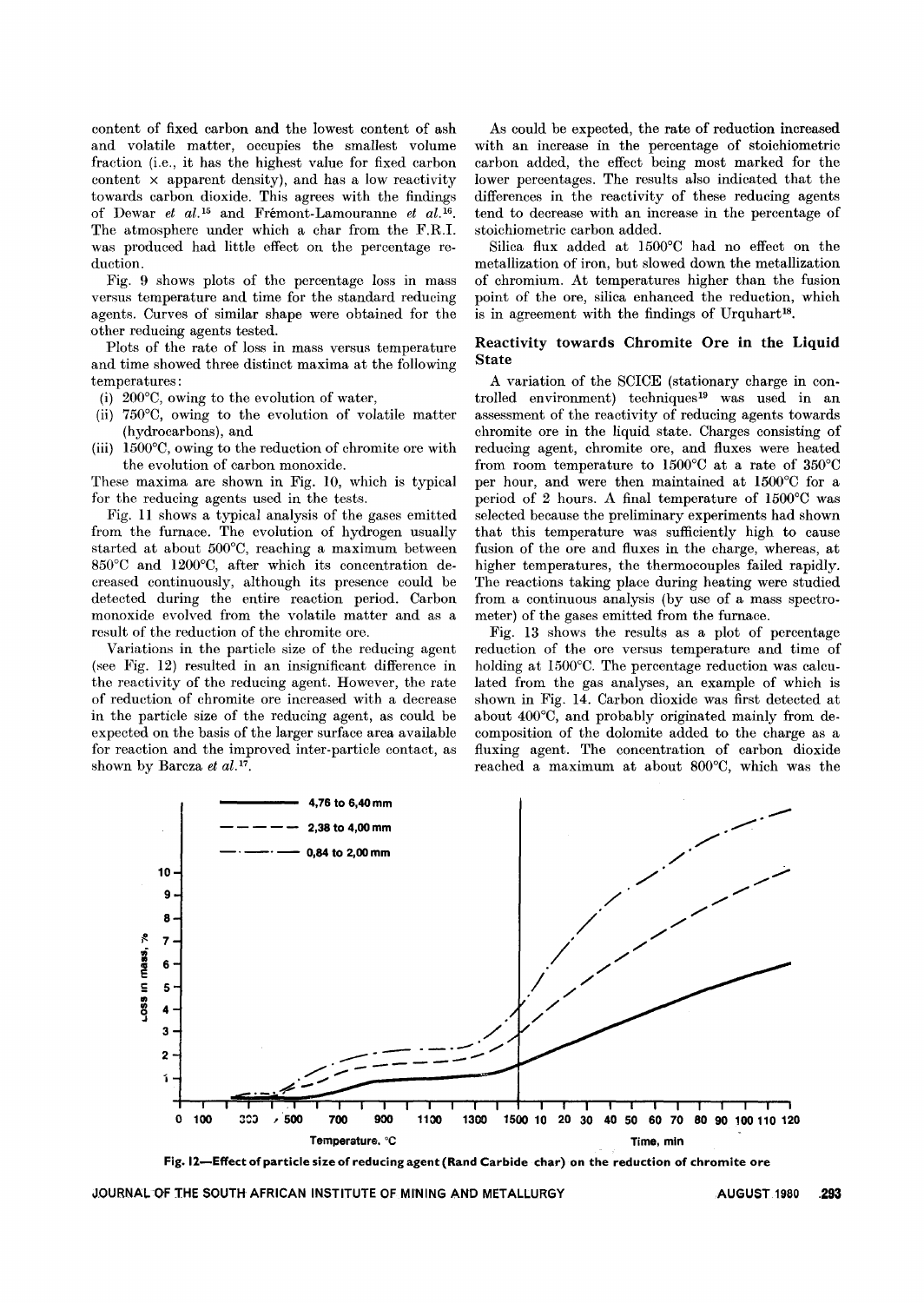content of fixed carbon and the lowest content of ash and volatile matter, occupies the smallest volume fraction (i.e., it has the highest value for fixed carbon content  $\times$  apparent density), and has a low reactivity towards carbon dioxide. This agrees with the findings of Dewar *et al.15* and Fremont-Lamouranne *et al.16.* The atmosphere under which a char from the F.RI. was produced had little effect on the percentage reduction.

Fig. 9 shows plots of the percentage loss in mass versus temperature and time for the standard reducing agents. Curves of similar shape were obtained for the other reducing agents tested.

Plots of the rate of loss in mass versus temperature and time showed three distinct maxima at the following temperatures:

- (i) 200°C, owing to the evolution of water,
- (ii) 750°C, owing to the evolution of volatile matter (hydrocarbons), and
- (iii) 1500°C, owing to the reduction of chromite ore with the evolution of carbon monoxide.

These maxima are shown in Fig. 10, which is typical for the reducing agents used in the tests.

Fig. 11 shows a typical analysis of the gases emitted from the furnace. The evolution of hydrogen usually started at about 500°C, reaching a maximum between 850°C and 1200°C, after which its concentration decreased continuously, although its presence could be detected during the entire reaction period. Carbon monoxide evolved from the volatile matter and as a result of the reduction of the chromite ore.

Variations in the particle size of the reducing agent (see Fig. 12) resulted in an insignificant difference in the reactivity of the reducing agent. However, the rate of reduction of chromite ore increased with a decrease in the particle size of the reducing agent, as could be expected on the basis of the larger surface area available for reaction and the improved inter-particle contact, as shown by Barcza et al.<sup>17</sup>.

As could be expected, the rate of reduction increased with an increase in the percentage of stoichiometric carbon added, the effect being most marked for the lower percentages. The results also indicated that the differences in the reactivity of these reducing agents tend to decrease with an increase in the percentage of stoichiometric carbon added.

Silica flux added at 1500°C had no effect on the metallization of iron, but slowed down the metallization of chromium. At temperatures higher than the fusion point of the ore, silica enhanced the reduction, which is in agreement with the findings of Urquhart<sup>18</sup>.

#### Reactivity towards Chromite Ore in the Liquid State

A variation of the SCICE (stationary charge in controlled environment) techniques<sup>19</sup> was used in an assessment of the reactivity of reducing agents towards chromite ore in the liquid state. Charges consisting of reducing agent, chromite ore, and fluxes were heated from room temperature to 1500°C at a rate of 350°C per hour, and were then maintained at 1500°C for a period of 2 hours. A final temperature of 1500°C was selected because the preliminary experiments had shown that this temperature was sufficiently high to cause fusion of the ore and fluxes in the charge, whereas, at higher temperatures, the thermocouples failed rapidly. The reactions taking place during heating were studied from a continuous analysis (by use of a mass spectrometer) of the gases emitted from the furnace.

Fig. 13 shows the results as a plot of percentage reduction of the ore versus temperature and time of holding at 1500°C. The percentage reduction was calculated from the gas analyses, an example of which is shown in Fig. 14. Carbon dioxide was first detected at about 400°C, and probably originated mainly from decomposition of the dolomite added to the charge as a fluxing agent. The concentration of carbon dioxide reached a maximum at about 800°C, which was the



Fig. 12-Effect of particle size of reducing agent (Rand Carbide char) on the reduction of chromite ore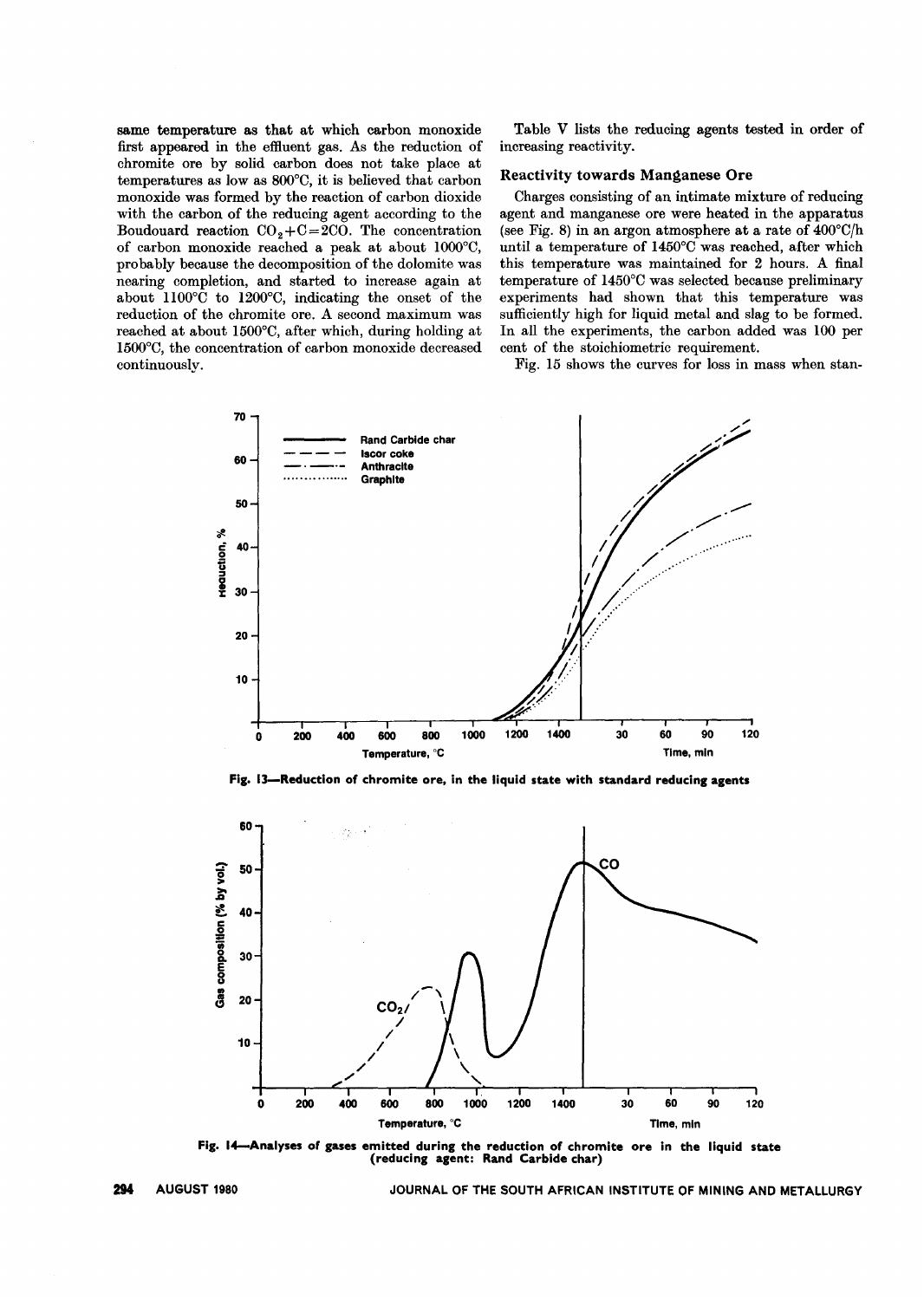same temperature as that at which carbon monoxide first appeared in the effluent gas. As the reduction of chromite ore by solid carbon does not take place at temperatures as low as 800°0, it is believed that carbon monoxide was formed by the reaction of carbon dioxide with the carbon of the reducing agent according to the Boudouard reaction  $CO<sub>2</sub>+C=2CO$ . The concentration of carbon monoxide reached a peak at about 1000°0, probably because the decomposition of the dolomite was nearing completion, and started to increase again at about  $1100^{\circ}$ C to  $1200^{\circ}$ C, indicating the onset of the reduction of the chromite ore. A second maximum was reached at about 1500°0, after which, during holding at 1500°0, the concentration of carbon monoxide decreased continuously.

Table V lists the reducing agents tested in order of increasing reactivity.

#### Reactivity towards Manganese Ore

Charges consisting of an intimate mixture of reducing agent and manganese ore were heated in the apparatus (see Fig. 8) in an argon atmosphere at a rate of  $400^{\circ}$ C/h until a temperature of 1450°C was reached, after which this temperature was maintained for 2 hours. A final temperature of 1450°0 was selected because preliminary experiments had shown that this temperature was sufficiently high for liquid metal and slag to be formed. In all the experiments, the carbon added was 100 per cent of the stoichiometric requirement.

Fig. 15 shows the curves for loss in mass when stan-



Fig. I]-Reduction of chromite ore, in the liquid state with standard reducing agents



Fig. I4-Analyses of gases emitted during the reduction of chromite ore in the liquid state (reducing agent: Rand Carbide char)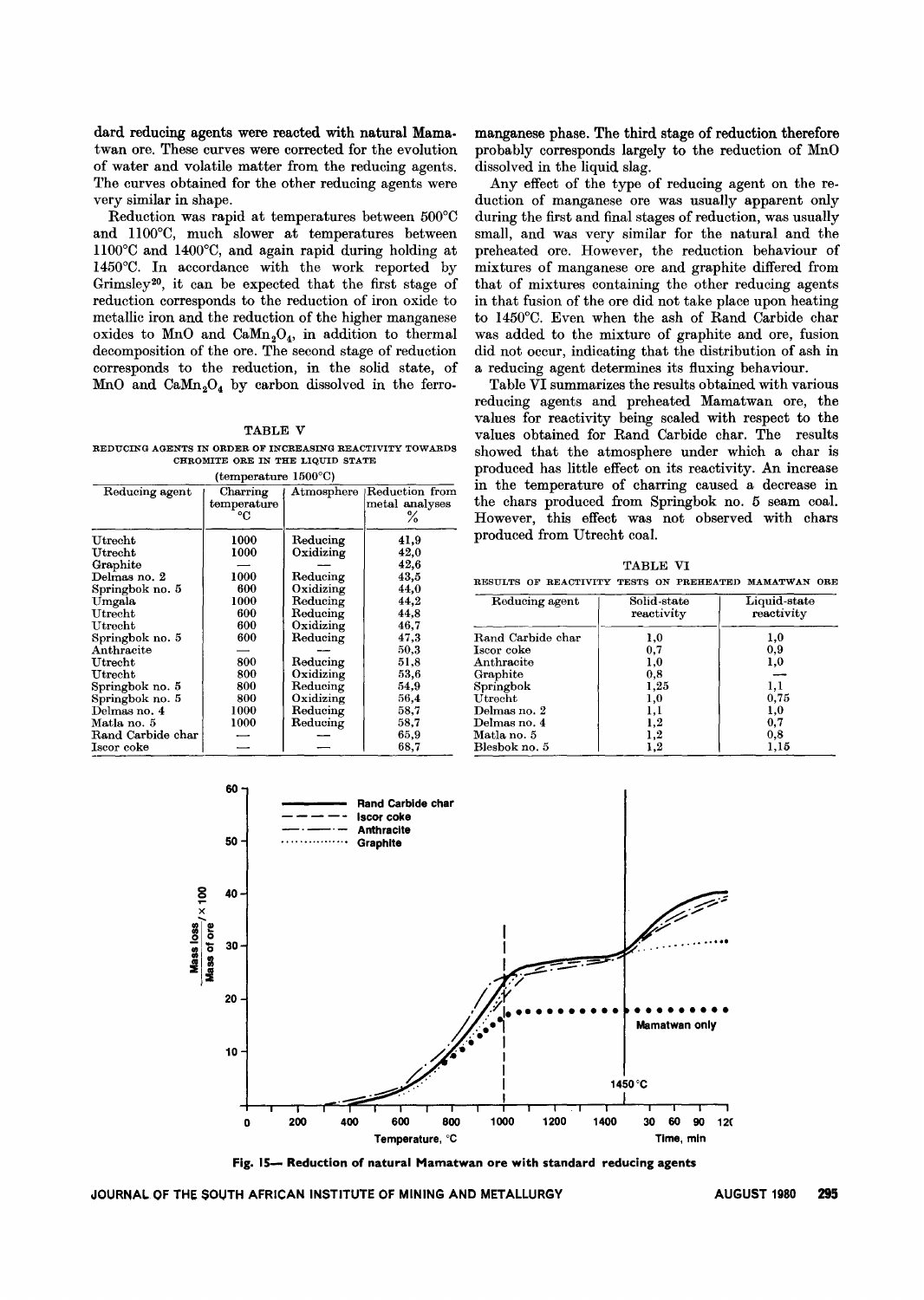dard reducing agents were reacted with natural Mama. twan ore. These curves were corrected for the evolution of water and volatile matter from the reducing agents. The curves obtained for the other reducing agents were very similar in shape.

Reduction was rapid at temperatures between 500°C and 1l00°C, much slower at temperatures between 1l00°C and 1400°C, and again rapid during holding at 1450°C. In accordance with the work reported by Grimsley2°, it can be expected that the first stage of reduction corresponds to the reduction of iron oxide to metallic iron and the reduction of the higher manganese oxides to MnO and  $\text{CaMn}_2\text{O}_4$ , in addition to thermal decomposition of the ore. The second stage of reduction corresponds to the reduction, in the solid state, of MnO and  $CaMn<sub>2</sub>O<sub>4</sub>$  by carbon dissolved in the ferro-

#### TABLE V

REDUCING AGENTS IN ORDER OF INCREASING REACTIVITY TOWARDS CHROMITE ORE IN THE LIQUID STATE (temperature 1500°C)

|                   | (winporature root of          |            |                                       |
|-------------------|-------------------------------|------------|---------------------------------------|
| Reducing agent    | Charring<br>temperature<br>°C | Atmosphere | Reduction from<br>metal analyses<br>℅ |
| $_{\rm Utrecht}$  | 1000                          | Reducing   | 41,9                                  |
| Utrecht           | 1000                          | Oxidizing  | 42,0                                  |
| Graphite          |                               |            | 42,6                                  |
| Delmas no. 2      | 1000                          | Reducing   | 43,5                                  |
| Springbok no. 5   | 600                           | Oxidizing  | 44,0                                  |
| Umgala            | 1000                          | Reducing   | 44,2                                  |
| Utrecht           | 600                           | Reducing   | 44,8                                  |
| $_{\rm Utrecht}$  | 600                           | Oxidizing  | 46,7                                  |
| Springbok no. 5   | 600                           | Reducing   | 47.3                                  |
| Anthracite        |                               |            | 50.3                                  |
| $\bf U$ trecht    | 800                           | Reducing   | 51,8                                  |
| $\bf U$ trecht    | 800                           | Oxidizing  | 53.6                                  |
| Springbok no. 5   | 800                           | Reducing   | 54.9                                  |
| Springbok no. 5   | 800                           | Oxidizing  | 56,4                                  |
| Delmas no. 4      | 1000                          | Reducing   | $^{58,7}$                             |
| Matla no. 5       | 1000                          | Reducing   | 58.7                                  |
| Rand Carbide char |                               |            | 65,9                                  |
| Iscor coke        |                               |            | 68,7                                  |

manganese phase. The third stage of reduction therefore probably corresponds largely to the reduction of MnO dissolved in the liquid slag.

Any effect of the type of reducing agent on the reduction of manganese ore was usually apparent only during the first and final stages of reduction, was usually small, and was very similar for the natural and the preheated ore. However, the reduction behaviour of mixtures of manganese ore and graphite differed from that of mixtures containing the other reducing agents in that fusion of the ore did not take place upon heating to 1450°C. Even when the ash of Rand Carbide char was added to the mixture of graphite and ore, fusion did not occur, indicating that the distribution of ash in a reducing agent determines its fluxing behaviour.

Table VI summarizes the results obtained with various reducing agents and preheated Mamatwan ore, the values for reactivity being scaled with respect to the values obtained for Rand Carbide char. The results showed that the atmosphere under which a char is produced has little effect on its reactivity. An increase in the temperature of charring caused a decrease in the chars produced from Springbok no. 5 seam coal. However, this effect was not observed with chars produced from Utrecht coal.

TABLE VI

RESULTS OF REACTIVITY TESTS ON PREHEATED MAMATWAN ORE

| Reducing agent    | Solid-state<br>reactivity | Liquid-state<br>reactivity |
|-------------------|---------------------------|----------------------------|
| Rand Carbide char | 1,0                       | 1,0                        |
| Iscor coke        | 0,7                       | 0,9                        |
| Anthracite        | 1,0                       | 1,0                        |
| Graphite          | 0,8                       |                            |
| Springbok         | 1,25                      | 1,1                        |
| $_{\rm Utrecht}$  | 1,0                       | 0.75                       |
| Delmas no. 2      | 1,1                       | $_{1,0}$                   |
| Delmas no. 4      | 1,2                       | 0,7                        |
| Matla no. 5       | 1,2                       | 0.8                        |
| Blesbok no. 5     | 1.2                       | 1,15                       |



Fig. 15- Reduction of natural Mamatwan ore with standard reducing agents